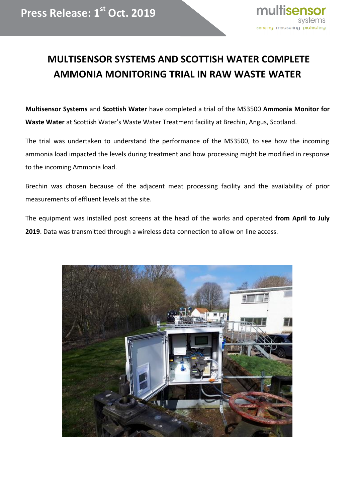## **MULTISENSOR SYSTEMS AND SCOTTISH WATER COMPLETE AMMONIA MONITORING TRIAL IN RAW WASTE WATER**

**Multisensor Systems** and **Scottish Water** have completed a trial of the MS3500 **Ammonia Monitor for Waste Water** at Scottish Water's Waste Water Treatment facility at Brechin, Angus, Scotland.

The trial was undertaken to understand the performance of the MS3500, to see how the incoming ammonia load impacted the levels during treatment and how processing might be modified in response to the incoming Ammonia load.

Brechin was chosen because of the adjacent meat processing facility and the availability of prior measurements of effluent levels at the site.

The equipment was installed post screens at the head of the works and operated **from April to July 2019**. Data was transmitted through a wireless data connection to allow on line access.